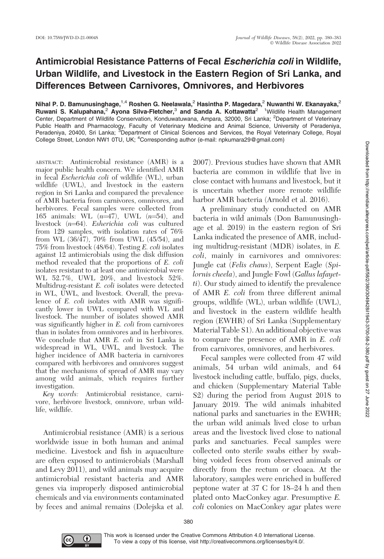## Antimicrobial Resistance Patterns of Fecal Escherichia coli in Wildlife, Urban Wildlife, and Livestock in the Eastern Region of Sri Lanka, and Differences Between Carnivores, Omnivores, and Herbivores

Nihal P. D. Bamunusinghage,<sup>1,4</sup> Roshen G. Neelawala,<sup>2</sup> Hasintha P. Magedara,<sup>2</sup> Nuwanthi W. Ekanayaka,<sup>2</sup> Ruwani S. Kalupahana,<sup>2</sup> Ayona Silva-Fletcher,<sup>3</sup> and Sanda A. Kottawatta<sup>2 1</sup> Wildlife Health Management Center, Department of Wildlife Conservation, Konduwatuwana, Ampara, 32000, Sri Lanka; <sup>2</sup>Department of Veterinary Public Health and Pharmacology, Faculty of Veterinary Medicine and Animal Science, University of Peradeniya,<br>Peradeniya, 20400, Sri Lanka; <sup>3</sup>Department of Clinical Sciences and Services, the Royal Veterinary College, Roya College Street, London NW1 0TU, UK; <sup>4</sup>Corresponding author (e-mail: npkumara29@gmail.com)

ABSTRACT: Antimicrobial resistance (AMR) is a major public health concern. We identified AMR in fecal Escherichia coli of wildlife (WL), urban wildlife (UWL), and livestock in the eastern region in Sri Lanka and compared the prevalence of AMR bacteria from carnivores, omnivores, and herbivores. Fecal samples were collected from 165 animals: WL  $(n=47)$ , UWL  $(n=54)$ , and livestock  $(n=64)$ . Esherichia coli was cultured from 129 samples, with isolation rates of 76% from WL  $(36/47)$ , 70% from UWL  $(45/54)$ , and 75% from livestock (48/64). Testing E. coli isolates against 12 antimicrobials using the disk diffusion method revealed that the proportions of E. coli isolates resistant to at least one antimicrobial were WL 52.7%, UWL 20%, and livestock 52%. Multidrug-resistant E. coli isolates were detected in WL, UWL, and livestock. Overall, the prevalence of E. coli isolates with AMR was significantly lower in UWL compared with WL and livestock. The number of isolates showed AMR was significantly higher in E. coli from carnivores than in isolates from omnivores and in herbivores. We conclude that AMR E. coli in Sri Lanka is widespread in WL, UWL, and livestock. The higher incidence of AMR bacteria in carnivores compared with herbivores and omnivores suggest that the mechanisms of spread of AMR may vary among wild animals, which requires further investigation.

Key words: Antimicrobial resistance, carnivore, herbivore livestock, omnivore, urban wildlife, wildlife.

Antimicrobial resistance (AMR) is a serious worldwide issue in both human and animal medicine. Livestock and fish in aquaculture are often exposed to antimicrobials (Marshall and Levy 2011), and wild animals may acquire antimicrobial resistant bacteria and AMR genes via improperly disposed antimicrobial chemicals and via environments contaminated by feces and animal remains (Dolejska et al. 2007). Previous studies have shown that AMR bacteria are common in wildlife that live in close contact with humans and livestock, but it is uncertain whether more remote wildlife harbor AMR bacteria (Arnold et al. 2016).

A preliminary study conducted on AMR bacteria in wild animals (Don Bamunusinghage et al. 2019) in the eastern region of Sri Lanka indicated the presence of AMR, including multidrug-resistant (MDR) isolates, in E. coli, mainly in carnivores and omnivores: Jungle cat (Felis chaus), Serpent Eagle (Spilornis cheela), and Jungle Fowl (Gallus lafayetti). Our study aimed to identify the prevalence of AMR E. coli from three different animal groups, wildlife (WL), urban wildlife (UWL), and livestock in the eastern wildlife health region (EWHR) of Sri Lanka (Supplementary Material Table S1). An additional objective was to compare the presence of AMR in E. coli from carnivores, omnivores, and herbivores.

Fecal samples were collected from 47 wild animals, 54 urban wild animals, and 64 livestock including cattle, buffalo, pigs, ducks, and chicken (Supplementary Material Table S2) during the period from August 2018 to January 2019. The wild animals inhabited national parks and sanctuaries in the EWHR; the urban wild animals lived close to urban areas and the livestock lived close to national parks and sanctuaries. Fecal samples were collected onto sterile swabs either by swabbing voided feces from observed animals or directly from the rectum or cloaca. At the laboratory, samples were enriched in buffered peptone water at 37 C for 18–24 h and then plated onto MacConkey agar. Presumptive E. coli colonies on MacConkey agar plates were



380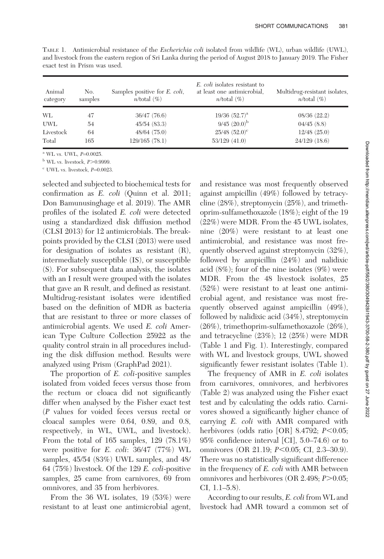| Animal<br>category | No.<br>samples | Samples positive for <i>E. coli</i> ,<br>$n$ /total $(\%)$ | E. coli isolates resistant to<br>at least one antimicrobial.<br>$n$ /total $(\%)$ | Multidrug-resistant isolates,<br>$n$ /total $(\%)$ |
|--------------------|----------------|------------------------------------------------------------|-----------------------------------------------------------------------------------|----------------------------------------------------|
| WL                 | 47             | 36/47(76.6)                                                | $19/36$ $(52.7)^a$                                                                | 08/36(22.2)                                        |
| UWL                | 54             | 45/54(83.3)                                                | $9/45$ $(20.0)^{b}$                                                               | 04/45(8.8)                                         |
| Livestock          | 64             | 48/64(75.0)                                                | $25/48$ $(52.0)^{\circ}$                                                          | $12/48$ $(25.0)$                                   |
| Total              | 165            | 129/165 (78.1)                                             | 53/129(41.0)                                                                      | 24/129 (18.6)                                      |

TABLE 1. Antimicrobial resistance of the Escherichia coli isolated from wildlife (WL), urban wildlife (UWL), and livestock from the eastern region of Sri Lanka during the period of August 2018 to January 2019. The Fisher exact test in Prism was used.

 $^{\rm a}$  WL vs. UWL,  $P=0.0025$ .

 $b$  WL vs. livestock,  $P > 0.9999$ .

 $\rm^c$  UWL vs. livestock,  $P=0.0023$ .

selected and subjected to biochemical tests for confirmation as E. coli (Quinn et al. 2011; Don Bamunusinghage et al. 2019). The AMR profiles of the isolated E. coli were detected using a standardized disk diffusion method (CLSI 2013) for 12 antimicrobials. The breakpoints provided by the CLSI (2013) were used for designation of isolates as resistant (R), intermediately susceptible (IS), or susceptible (S). For subsequent data analysis, the isolates with an I result were grouped with the isolates that gave an R result, and defined as resistant. Multidrug-resistant isolates were identified based on the definition of MDR as bacteria that are resistant to three or more classes of antimicrobial agents. We used E. coli American Type Culture Collection 25922 as the quality control strain in all procedures including the disk diffusion method. Results were analyzed using Prism (GraphPad 2021).

The proportion of *E. coli-positive samples* isolated from voided feces versus those from the rectum or cloaca did not significantly differ when analysed by the Fisher exact test (P values for voided feces versus rectal or cloacal samples were 0.64, 0.89, and 0.8, respectively, in WL, UWL, and livestock). From the total of 165 samples, 129 (78.1%) were positive for E. coli: 36/47 (77%) WL samples, 45/54 (83%) UWL samples, and 48/ 64 (75%) livestock. Of the 129 E. coli-positive samples, 25 came from carnivores, 69 from omnivores, and 35 from herbivores.

From the 36 WL isolates, 19 (53%) were resistant to at least one antimicrobial agent, and resistance was most frequently observed against ampicillin (49%) followed by tetracycline (28%), streptomycin (25%), and trimethoprim-sulfamethoxazole (18%); eight of the 19 (22%) were MDR. From the 45 UWL isolates, nine (20%) were resistant to at least one antimicrobial, and resistance was most frequently observed against streptomycin (32%), followed by ampicillin (24%) and nalidixic acid (8%); four of the nine isolates (9%) were MDR. From the 48 livestock isolates, 25 (52%) were resistant to at least one antimicrobial agent, and resistance was most frequently observed against ampicillin (49%), followed by nalidixic acid (34%), streptomycin (26%), trimethoprim-sulfamethoxazole (26%), and tetracycline (23%); 12 (25%) were MDR (Table 1 and Fig. 1). Interestingly, compared with WL and livestock groups, UWL showed significantly fewer resistant isolates (Table 1).

The frequency of AMR in E. coli isolates from carnivores, omnivores, and herbivores (Table 2) was analyzed using the Fisher exact test and by calculating the odds ratio. Carnivores showed a significantly higher chance of carrying E. coli with AMR compared with herbivores (odds ratio [OR] 8.4792;  $P<0.05$ ; 95% confidence interval [CI], 5.0–74.6) or to omnivores (OR 21.19;  $P<0.05$ ; CI, 2.3–30.9). There was no statistically significant difference in the frequency of E. coli with AMR between omnivores and herbivores (OR 2.498;  $P > 0.05$ ; CI, 1.1–5.8).

According to our results, E. coli from WL and livestock had AMR toward a common set of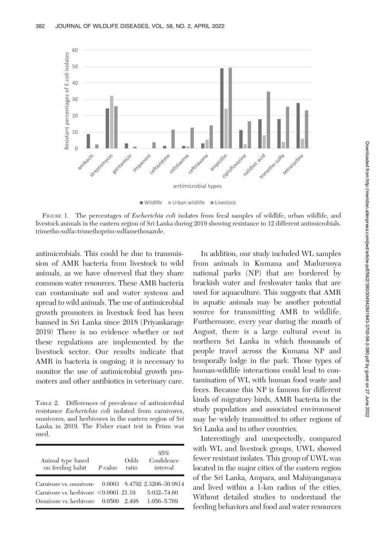

Urban wildlife Livestock Wildlife

FIGURE 1. The percentages of *Escherichia coli* isolates from fecal samples of wildlife, urban wildlife, and livestock animals in the eastern region of Sri Lanka during 2019 showing resistance to 12 different antimicrobials. trimetho-sulfa=trimethoprim-sulfamethoxazole.

antimicrobials. This could be due to transmission of AMR bacteria from livestock to wild animals, as we have observed that they share common water resources. These AMR bacteria can contaminate soil and water systems and spread to wild animals. The use of antimicrobial growth promoters in livestock feed has been banned in Sri Lanka since 2018 (Priyankarage 2019) There is no evidence whether or not these regulations are implemented by the livestock sector. Our results indicate that AMR in bacteria is ongoing; it is necessary to monitor the use of antimicrobial growth promoters and other antibiotics in veterinary care.

TABLE 2. Differences of prevalence of antimicrobial resistance Escherichia coli isolated from carnivores, omnivores, and herbivores in the eastern region of Sri Lanka in 2019. The Fisher exact test in Prism was used.

| Animal type based<br>on feeding habit                                                                                                     | $P$ -value | Odds<br>ratio | 95%<br>Confidence<br>interval |
|-------------------------------------------------------------------------------------------------------------------------------------------|------------|---------------|-------------------------------|
| Carnivore vs. omnivore 0.0003 8.4792 2.3206-30.9814<br>Carnivore vs. herbivore $\leq 0.0001$ 21.19<br>Omnivore vs. herbivore 0.0560 2.498 |            |               | 5.032-74.60<br>1.056-5.769    |

In addition, our study included WL samples from animals in Kumana and Maduruoya national parks (NP) that are bordered by brackish water and freshwater tanks that are used for aquaculture. This suggests that AMR in aquatic animals may be another potential source for transmitting AMR to wildlife. Furthermore, every year during the month of August, there is a large cultural event in northern Sri Lanka in which thousands of people travel across the Kumana NP and temporally lodge in the park. Those types of human-wildlife interactions could lead to contamination of WL with human food waste and feces. Because this NP is famous for different kinds of migratory birds, AMR bacteria in the study population and associated environment may be widely transmitted to other regions of Sri Lanka and to other countries.

Interestingly and unexpectedly, compared with WL and livestock groups, UWL showed fewer resistant isolates. This group of UWL was located in the major cities of the eastern region of the Sri Lanka, Ampara, and Mahiyanganaya and lived within a 1-km radius of the cities. Without detailed studies to understand the feeding behaviors and food and water resources